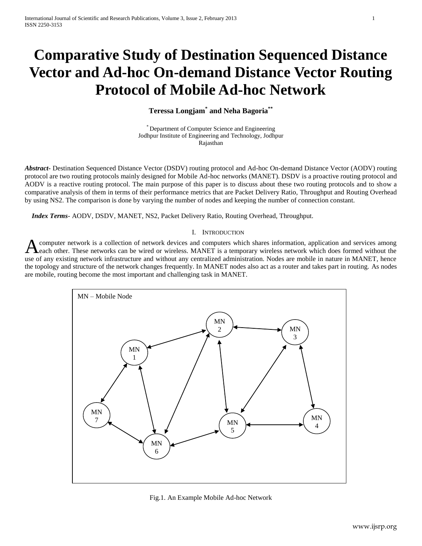# **Comparative Study of Destination Sequenced Distance Vector and Ad-hoc On-demand Distance Vector Routing Protocol of Mobile Ad-hoc Network**

# **Teressa Longjam\* and Neha Bagoria\*\***

\* Department of Computer Science and Engineering Jodhpur Institute of Engineering and Technology, Jodhpur Rajasthan

*Abstract***-** Destination Sequenced Distance Vector (DSDV) routing protocol and Ad-hoc On-demand Distance Vector (AODV) routing protocol are two routing protocols mainly designed for Mobile Ad-hoc networks (MANET). DSDV is a proactive routing protocol and AODV is a reactive routing protocol. The main purpose of this paper is to discuss about these two routing protocols and to show a comparative analysis of them in terms of their performance metrics that are Packet Delivery Ratio, Throughput and Routing Overhead by using NS2. The comparison is done by varying the number of nodes and keeping the number of connection constant.

 *Index Terms*- AODV, DSDV, MANET, NS2, Packet Delivery Ratio, Routing Overhead, Throughput.

### I. INTRODUCTION

computer network is a collection of network devices and computers which shares information, application and services among each other. These networks can be wired or wireless. MANET is a temporary wireless network which does formed without the use of any existing network infrastructure and without any centralized administration. Nodes are mobile in nature in MANET, hence the topology and structure of the network changes frequently. In MANET nodes also act as a router and takes part in routing. As nodes are mobile, routing become the most important and challenging task in MANET. A



Fig.1. An Example Mobile Ad-hoc Network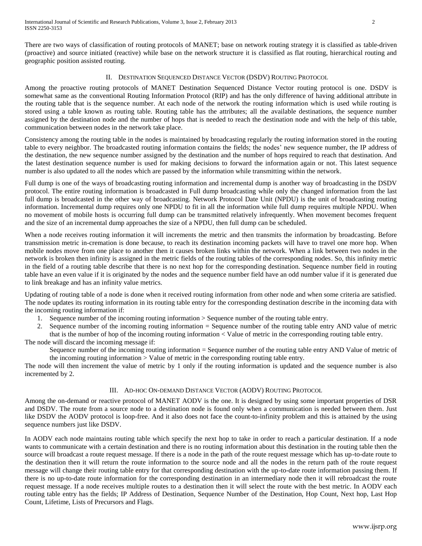There are two ways of classification of routing protocols of MANET; base on network routing strategy it is classified as table-driven (proactive) and source initiated (reactive) while base on the network structure it is classified as flat routing, hierarchical routing and geographic position assisted routing.

## II. DESTINATION SEQUENCED DISTANCE VECTOR (DSDV) ROUTING PROTOCOL

Among the proactive routing protocols of MANET Destination Sequenced Distance Vector routing protocol is one. DSDV is somewhat same as the conventional Routing Information Protocol (RIP) and has the only difference of having additional attribute in the routing table that is the sequence number. At each node of the network the routing information which is used while routing is stored using a table known as routing table. Routing table has the attributes; all the available destinations, the sequence number assigned by the destination node and the number of hops that is needed to reach the destination node and with the help of this table, communication between nodes in the network take place.

Consistency among the routing table in the nodes is maintained by broadcasting regularly the routing information stored in the routing table to every neighbor. The broadcasted routing information contains the fields; the nodes' new sequence number, the IP address of the destination, the new sequence number assigned by the destination and the number of hops required to reach that destination. And the latest destination sequence number is used for making decisions to forward the information again or not. This latest sequence number is also updated to all the nodes which are passed by the information while transmitting within the network.

Full dump is one of the ways of broadcasting routing information and incremental dump is another way of broadcasting in the DSDV protocol. The entire routing information is broadcasted in Full dump broadcasting while only the changed information from the last full dump is broadcasted in the other way of broadcasting. Network Protocol Date Unit (NPDU) is the unit of broadcasting routing information. Incremental dump requires only one NPDU to fit in all the information while full dump requires multiple NPDU. When no movement of mobile hosts is occurring full dump can be transmitted relatively infrequently. When movement becomes frequent and the size of an incremental dump approaches the size of a NPDU, then full dump can be scheduled.

When a node receives routing information it will increments the metric and then transmits the information by broadcasting. Before transmission metric in-cremation is done because, to reach its destination incoming packets will have to travel one more hop. When mobile nodes move from one place to another then it causes broken links within the network. When a link between two nodes in the network is broken then infinity is assigned in the metric fields of the routing tables of the corresponding nodes. So, this infinity metric in the field of a routing table describe that there is no next hop for the corresponding destination. Sequence number field in routing table have an even value if it is originated by the nodes and the sequence number field have an odd number value if it is generated due to link breakage and has an infinity value metrics.

Updating of routing table of a node is done when it received routing information from other node and when some criteria are satisfied. The node updates its routing information in its routing table entry for the corresponding destination describe in the incoming data with the incoming routing information if:

1. Sequence number of the incoming routing information > Sequence number of the routing table entry.

2. Sequence number of the incoming routing information = Sequence number of the routing table entry AND value of metric that is the number of hop of the incoming routing information < Value of metric in the corresponding routing table entry.

The node will discard the incoming message if: Sequence number of the incoming routing information = Sequence number of the routing table entry AND Value of metric of

the incoming routing information > Value of metric in the corresponding routing table entry.

The node will then increment the value of metric by 1 only if the routing information is updated and the sequence number is also incremented by 2.

# III. AD-HOC ON-DEMAND DISTANCE VECTOR (AODV) ROUTING PROTOCOL

Among the on-demand or reactive protocol of MANET AODV is the one. It is designed by using some important properties of DSR and DSDV. The route from a source node to a destination node is found only when a communication is needed between them. Just like DSDV the AODV protocol is loop-free. And it also does not face the count-to-infinity problem and this is attained by the using sequence numbers just like DSDV.

In AODV each node maintains routing table which specify the next hop to take in order to reach a particular destination. If a node wants to communicate with a certain destination and there is no routing information about this destination in the routing table then the source will broadcast a route request message. If there is a node in the path of the route request message which has up-to-date route to the destination then it will return the route information to the source node and all the nodes in the return path of the route request message will change their routing table entry for that corresponding destination with the up-to-date route information passing them. If there is no up-to-date route information for the corresponding destination in an intermediary node then it will rebroadcast the route request message. If a node receives multiple routes to a destination then it will select the route with the best metric. In AODV each routing table entry has the fields; IP Address of Destination, Sequence Number of the Destination, Hop Count, Next hop, Last Hop Count, Lifetime, Lists of Precursors and Flags.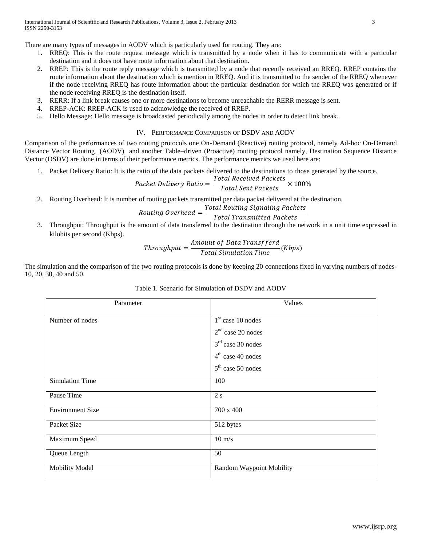There are many types of messages in AODV which is particularly used for routing. They are:

- 1. RREQ: This is the route request message which is transmitted by a node when it has to communicate with a particular destination and it does not have route information about that destination.
- 2. RREP: This is the route reply message which is transmitted by a node that recently received an RREQ. RREP contains the route information about the destination which is mention in RREQ. And it is transmitted to the sender of the RREQ whenever if the node receiving RREQ has route information about the particular destination for which the RREQ was generated or if the node receiving RREQ is the destination itself.
- 3. RERR: If a link break causes one or more destinations to become unreachable the RERR message is sent.
- 4. RREP-ACK: RREP-ACK is used to acknowledge the received of RREP.
- 5. Hello Message: Hello message is broadcasted periodically among the nodes in order to detect link break.

# IV. PERFORMANCE COMPARISON OF DSDV AND AODV

Comparison of the performances of two routing protocols one On-Demand (Reactive) routing protocol, namely Ad-hoc On-Demand Distance Vector Routing (AODV) and another Table–driven (Proactive) routing protocol namely, Destination Sequence Distance Vector (DSDV) are done in terms of their performance metrics. The performance metrics we used here are:

1. Packet Delivery Ratio: It is the ratio of the data packets delivered to the destinations to those generated by the source.

$$
Packet \; delivery \; Ratio = \frac{Total \; Received \; Packets}{Total \; Sent \; Packets} \times 100\%
$$

2. Routing Overhead: It is number of routing packets transmitted per data packet delivered at the destination.

#### Routing Overhead  $=$ **Total Routing Signaling Packets Total Transmitted Packets**

3. Throughput: Throughput is the amount of data transferred to the destination through the network in a unit time expressed in kilobits per second (Kbps).

$$
Throughout = \frac{Amount\ of\ Data\ Transfferd}{Total\ Simulation\ Time} (Kbps)
$$

The simulation and the comparison of the two routing protocols is done by keeping 20 connections fixed in varying numbers of nodes-10, 20, 30, 40 and 50.

| Parameter               | Values                            |
|-------------------------|-----------------------------------|
| Number of nodes         | $\overline{1^{st}}$ case 10 nodes |
|                         | $2nd$ case 20 nodes               |
|                         | $3rd$ case 30 nodes               |
|                         | $4th$ case 40 nodes               |
|                         | $5th$ case 50 nodes               |
| <b>Simulation Time</b>  | 100                               |
| Pause Time              | 2s                                |
| <b>Environment Size</b> | 700 x 400                         |
| Packet Size             | 512 bytes                         |
| Maximum Speed           | $10 \text{ m/s}$                  |
| Queue Length            | 50                                |
| <b>Mobility Model</b>   | <b>Random Waypoint Mobility</b>   |
|                         |                                   |

# Table 1. Scenario for Simulation of DSDV and AODV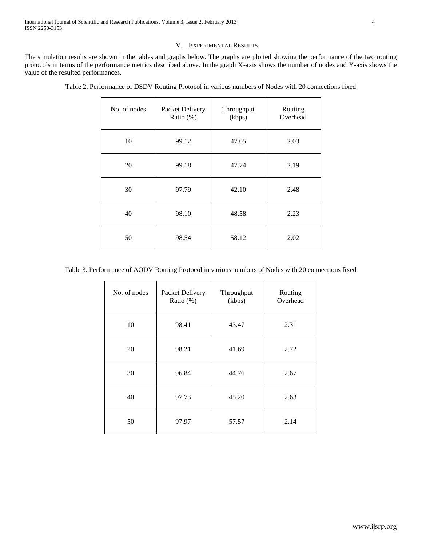# V. EXPERIMENTAL RESULTS

The simulation results are shown in the tables and graphs below. The graphs are plotted showing the performance of the two routing protocols in terms of the performance metrics described above. In the graph X-axis shows the number of nodes and Y-axis shows the value of the resulted performances.

| No. of nodes | Packet Delivery<br>Ratio $(\%)$ | Throughput<br>(kbps) | Routing<br>Overhead |
|--------------|---------------------------------|----------------------|---------------------|
| 10           | 99.12                           | 47.05                | 2.03                |
| 20           | 99.18                           | 47.74                | 2.19                |
| 30           | 97.79                           | 42.10                | 2.48                |
| 40           | 98.10                           | 48.58                | 2.23                |
| 50           | 98.54                           | 58.12                | 2.02                |

Table 2. Performance of DSDV Routing Protocol in various numbers of Nodes with 20 connections fixed

Table 3. Performance of AODV Routing Protocol in various numbers of Nodes with 20 connections fixed

| No. of nodes | Packet Delivery<br>Ratio $(\%)$ | Throughput<br>(kbps) | Routing<br>Overhead |
|--------------|---------------------------------|----------------------|---------------------|
| 10           | 98.41                           | 43.47                | 2.31                |
| 20           | 98.21                           | 41.69                | 2.72                |
| 30           | 96.84                           | 44.76                | 2.67                |
| 40           | 97.73                           | 45.20                | 2.63                |
| 50           | 97.97                           | 57.57                | 2.14                |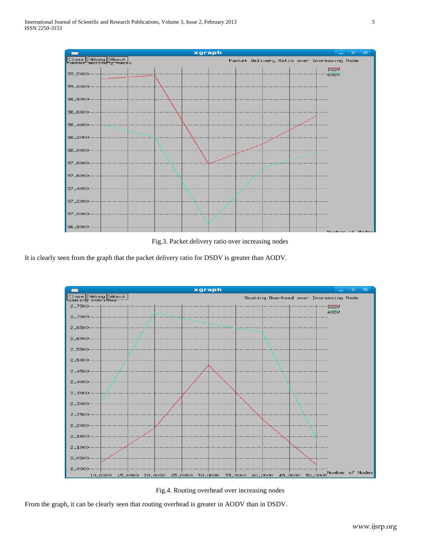

Fig.3. Packet delivery ratio over increasing nodes

It is clearly seen from the graph that the packet delivery ratio for DSDV is greater than AODV.



Fig.4. Routing overhead over increasing nodes

From the graph, it can be clearly seen that routing overhead is greater in AODV than in DSDV.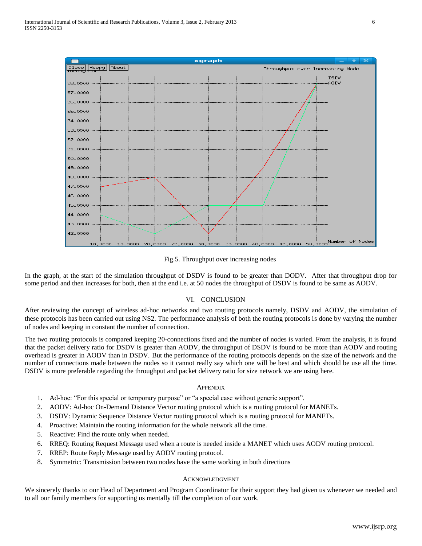

Fig.5. Throughput over increasing nodes

In the graph, at the start of the simulation throughput of DSDV is found to be greater than DODV. After that throughput drop for some period and then increases for both, then at the end i.e. at 50 nodes the throughput of DSDV is found to be same as AODV.

# VI. CONCLUSION

After reviewing the concept of wireless ad-hoc networks and two routing protocols namely, DSDV and AODV, the simulation of these protocols has been carried out using NS2. The performance analysis of both the routing protocols is done by varying the number of nodes and keeping in constant the number of connection.

The two routing protocols is compared keeping 20-connections fixed and the number of nodes is varied. From the analysis, it is found that the packet delivery ratio for DSDV is greater than AODV, the throughput of DSDV is found to be more than AODV and routing overhead is greater in AODV than in DSDV. But the performance of the routing protocols depends on the size of the network and the number of connections made between the nodes so it cannot really say which one will be best and which should be use all the time. DSDV is more preferable regarding the throughput and packet delivery ratio for size network we are using here.

### **APPENDIX**

- 1. Ad-hoc: "For this special or temporary purpose" or "a special case without generic support".
- 2. AODV: Ad-hoc On-Demand Distance Vector routing protocol which is a routing protocol for MANETs.
- 3. DSDV: Dynamic Sequence Distance Vector routing protocol which is a routing protocol for MANETs.
- 4. Proactive: Maintain the routing information for the whole network all the time.
- 5. Reactive: Find the route only when needed.
- 6. RREQ: Routing Request Message used when a route is needed inside a MANET which uses AODV routing protocol.
- 7. RREP: Route Reply Message used by AODV routing protocol.
- 8. Symmetric: Transmission between two nodes have the same working in both directions

## ACKNOWLEDGMENT

We sincerely thanks to our Head of Department and Program Coordinator for their support they had given us whenever we needed and to all our family members for supporting us mentally till the completion of our work.